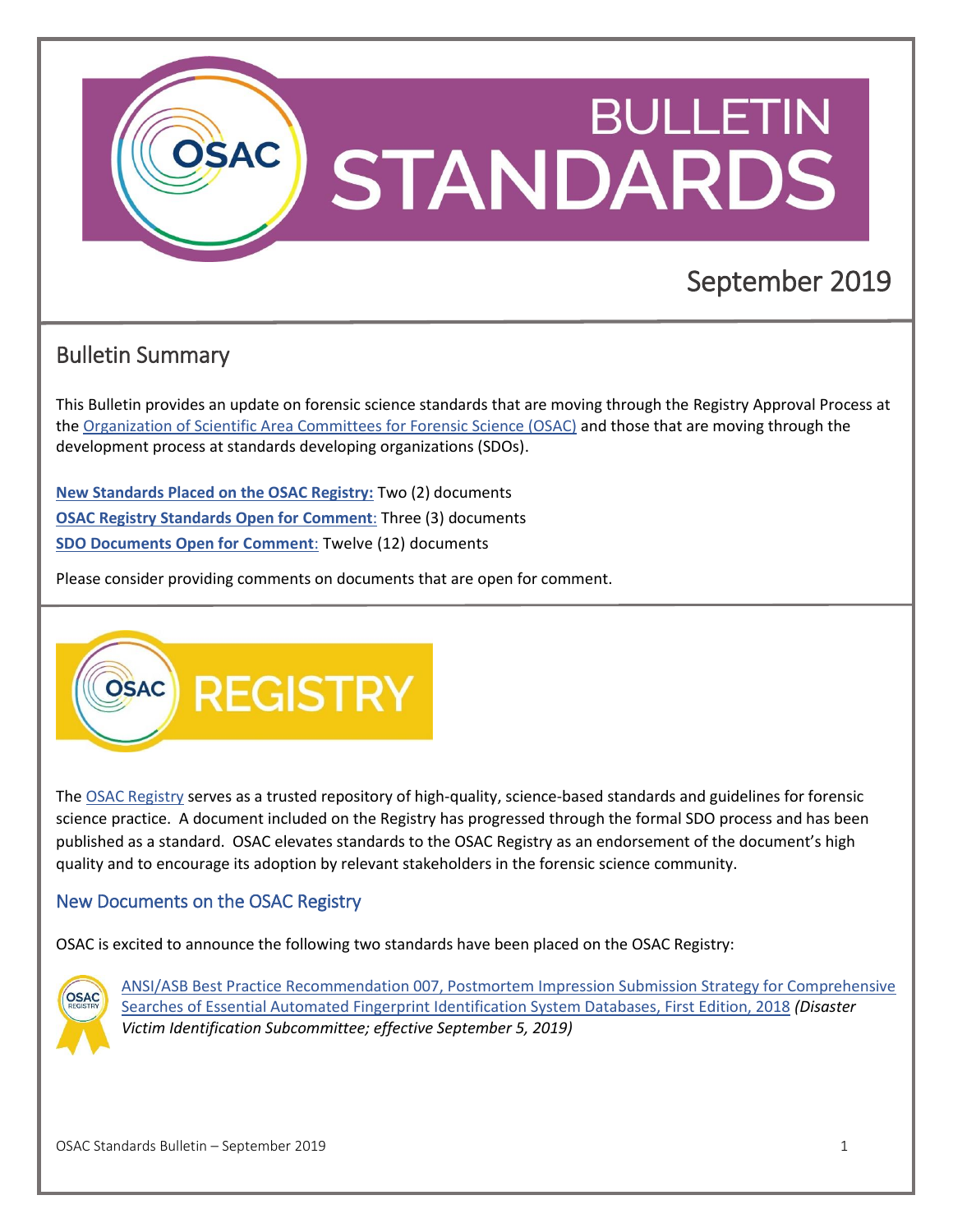<span id="page-0-1"></span>

# Bulletin Summary

This Bulletin provides an update on forensic science standards that are moving through the Registry Approval Process at the Organization of Scientific Area [Committees for Forensic Science \(OSAC\)](https://www.nist.gov/topics/organization-scientific-area-committees-forensic-science) and those that are moving through the development process at standards developing organizations (SDOs).

**[New Standards Placed on the OSAC Registry:](#page-0-0)** Two (2) documents **[OSAC Registry Standards Open for Comment](#page-0-1)**: Three (3) documents **[SDO Documents Open for Comment](#page-1-0)**: Twelve (12) documents

Please consider providing comments on documents that are open for comment.



The [OSAC Registry](https://www.nist.gov/topics/organization-scientific-area-committees-forensic-science/osac-registry) serves as a trusted repository of high-quality, science-based standards and guidelines for forensic science practice. A document included on the Registry has progressed through the formal SDO process and has been published as a standard. OSAC elevates standards to the OSAC Registry as an endorsement of the document's high quality and to encourage its adoption by relevant stakeholders in the forensic science community.

#### <span id="page-0-0"></span>New Documents on the OSAC Registry

OSAC is excited to announce the following two standards have been placed on the OSAC Registry:



[ANSI/ASB Best Practice Recommendation 007, Postmortem Impression Submission Strategy for Comprehensive](https://asb.aafs.org/wp-content/uploads/2018/05/007_BPR_e1.pdf)  [Searches of Essential Automated Fingerprint Identification System Databases, First Edition, 2018](https://asb.aafs.org/wp-content/uploads/2018/05/007_BPR_e1.pdf) *(Disaster Victim Identification Subcommittee; effective September 5, 2019)*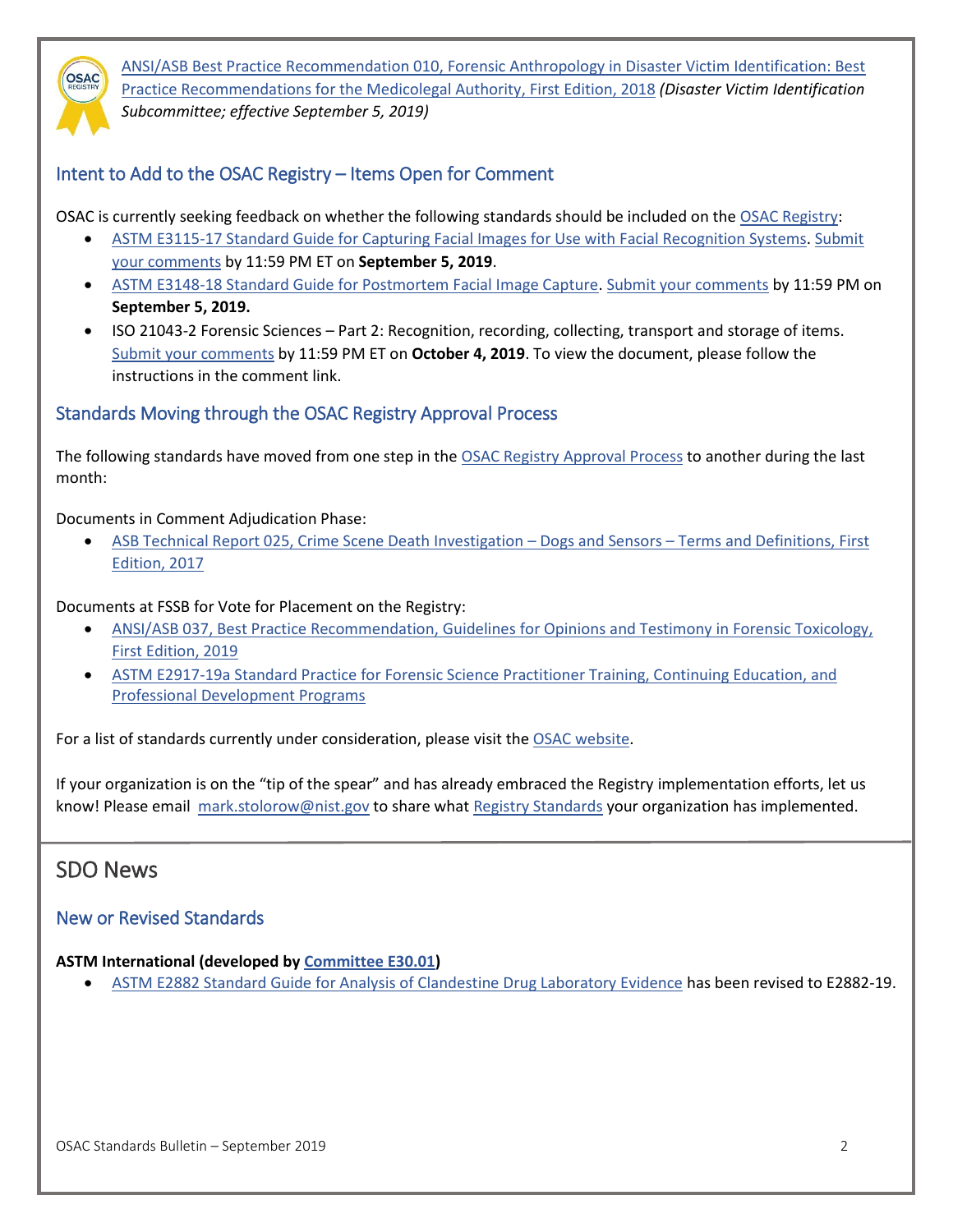<span id="page-1-0"></span>

[ANSI/ASB Best Practice Recommendation 010, Forensic Anthropology in Disaster Victim Identification: Best](http://www.asbstandardsboard.org/wp-content/uploads/2018/10/010_BPR_e01.pdf)  [Practice Recommendations for the Medicolegal Authority, First](http://www.asbstandardsboard.org/wp-content/uploads/2018/10/010_BPR_e01.pdf) Edition, 2018 *(Disaster Victim Identification Subcommittee; effective September 5, 2019)*

### Intent to Add to the OSAC Registry – Items Open for Comment

OSAC is currently seeking feedback on whether the following standards should be included on th[e OSAC Registry:](https://www.nist.gov/topics/organization-scientific-area-committees-forensic-science/osac-registry)

- [ASTM E3115-17 Standard Guide for Capturing Facial Images for Use with Facial Recognition Systems.](https://www.astm.org/NIST/) [Submit](https://www.surveymonkey.com/r/LLNKGCM)  [your comments](https://www.surveymonkey.com/r/LLNKGCM) by 11:59 PM ET on **September 5, 2019**.
- [ASTM E3148-18 Standard Guide for Postmortem Facial Image Capture.](https://www.astm.org/NIST/) [Submit your comments](https://www.surveymonkey.com/r/CDKMR5Z) by 11:59 PM on **September 5, 2019.**
- ISO 21043-2 Forensic Sciences Part 2: Recognition, recording, collecting, transport and storage of items. [Submit your comments](https://www.surveymonkey.com/r/ZD3Q5YH) by 11:59 PM ET on **October 4, 2019**. To view the document, please follow the instructions in the comment link.

#### Standards Moving through the OSAC Registry Approval Process

The following standards have moved from one step in the [OSAC Registry Approval Process](https://www.nist.gov/topics/organization-scientific-area-committees-forensic-science/registry-approval) to another during the last month:

Documents in Comment Adjudication Phase:

• [ASB Technical Report 025, Crime Scene Death Investigation](https://asb.aafs.org/wp-content/uploads/2017/12/025_TR_e1_2017.pdf) – Dogs and Sensors – Terms and Definitions, First [Edition, 2017](https://asb.aafs.org/wp-content/uploads/2017/12/025_TR_e1_2017.pdf)

Documents at FSSB for Vote for Placement on the Registry:

- [ANSI/ASB 037, Best Practice Recommendation, Guidelines for Opinions and Testimony in Forensic Toxicology,](http://www.asbstandardsboard.org/wp-content/uploads/2019/01/037_BPR_e1.pdf)  [First Edition, 2019](http://www.asbstandardsboard.org/wp-content/uploads/2019/01/037_BPR_e1.pdf)
- [ASTM E2917-19a Standard Practice for Forensic Science Practitioner Training, Continuing Education, and](https://www.astm.org/Standards/E2917.htm)  [Professional Development Programs](https://www.astm.org/Standards/E2917.htm)

For a list of standards currently under consideration, please visit th[e OSAC website.](https://www.nist.gov/topics/organization-scientific-area-committees-forensic-science/standards-under-consideration)

If your organization is on the "tip of the spear" and has already embraced the Registry implementation efforts, let us know! Please email [mark.stolorow@nist.](mailto:mark.stolorow@nist)gov to share what [Registry Standards](https://www.nist.gov/topics/forensic-science/organization-scientific-area-committees-osac/osac-registry/osac-approved) your organization has implemented.

## SDO News

#### New or Revised Standards

#### **ASTM International (developed by [Committee E30.01\)](https://www.astm.org/COMMIT/SUBCOMMIT/E3001.htm)**

• [ASTM E2882 Standard Guide for Analysis of Clandestine Drug Laboratory Evidence](https://www.astm.org/Standards/E2882.htm) has been revised to E2882-19.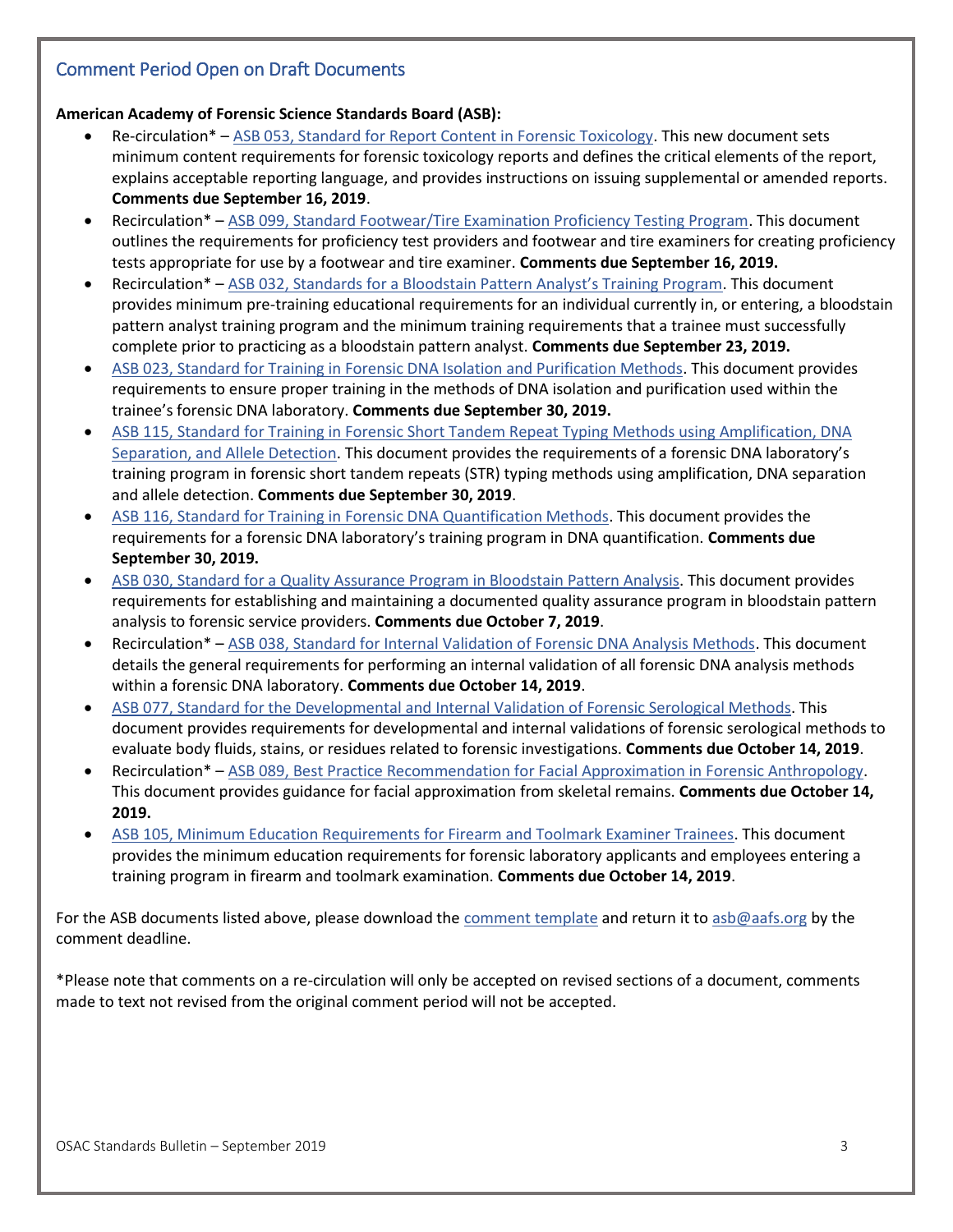### Comment Period Open on Draft Documents

#### **American Academy of Forensic Science Standards Board (ASB):**

- Re-circulation\* [ASB 053, Standard for Report Content in Forensic Toxicology.](http://www.asbstandardsboard.org/wp-content/uploads/2019/07/053_Std_Ballot02-Redline.pdf) This new document sets minimum content requirements for forensic toxicology reports and defines the critical elements of the report, explains acceptable reporting language, and provides instructions on issuing supplemental or amended reports. **Comments due September 16, 2019**.
- Recirculation\* [ASB 099, Standard Footwear/Tire Examination Proficiency Testing Program.](http://www.asbstandardsboard.org/wp-content/uploads/2019/08/099_Std_Ballot02_Redline.pdf) This document outlines the requirements for proficiency test providers and footwear and tire examiners for creating proficiency tests appropriate for use by a footwear and tire examiner. **Comments due September 16, 2019.**
- Recirculation\* [ASB 032, Standards for a Bloodstain Pattern Analyst's Training Program](http://www.asbstandardsboard.org/wp-content/uploads/2019/08/032_Std_Ballot-02-Redline.pdf). This document provides minimum pre-training educational requirements for an individual currently in, or entering, a bloodstain pattern analyst training program and the minimum training requirements that a trainee must successfully complete prior to practicing as a bloodstain pattern analyst. **Comments due September 23, 2019.**
- [ASB 023, Standard for Training in Forensic DNA Isolation and Purification Methods.](http://www.asbstandardsboard.org/wp-content/uploads/2019/08/023_Std_Ballot01.pdf) This document provides requirements to ensure proper training in the methods of DNA isolation and purification used within the trainee's forensic DNA laboratory. **Comments due September 30, 2019.**
- [ASB 115, Standard for Training in Forensic Short Tandem Repeat Typing Methods using Amplification, DNA](http://www.asbstandardsboard.org/wp-content/uploads/2019/08/115_Std_Ballot01.pdf)  [Separation, and Allele Detection.](http://www.asbstandardsboard.org/wp-content/uploads/2019/08/115_Std_Ballot01.pdf) This document provides the requirements of a forensic DNA laboratory's training program in forensic short tandem repeats (STR) typing methods using amplification, DNA separation and allele detection. **Comments due September 30, 2019**.
- [ASB 116, Standard for Training in Forensic DNA Quantification Methods.](http://www.asbstandardsboard.org/wp-content/uploads/2019/08/116_Std_Ballot01.pdf) This document provides the requirements for a forensic DNA laboratory's training program in DNA quantification. **Comments due September 30, 2019.**
- [ASB 030, Standard for a Quality Assurance Program in Bloodstain Pattern Analysis.](http://www.asbstandardsboard.org/wp-content/uploads/2019/08/030_Std_Ballot01.pdf) This document provides requirements for establishing and maintaining a documented quality assurance program in bloodstain pattern analysis to forensic service providers. **Comments due October 7, 2019**.
- Recirculation\* [ASB 038, Standard for Internal Validation of Forensic DNA Analysis Methods.](http://www.asbstandardsboard.org/wp-content/uploads/2019/09/038_Std_Ballot02_Redline.pdf) This document details the general requirements for performing an internal validation of all forensic DNA analysis methods within a forensic DNA laboratory. **Comments due October 14, 2019**.
- [ASB 077, Standard for the Developmental and Internal Validation of Forensic Serological Methods.](http://www.asbstandardsboard.org/wp-content/uploads/2019/09/077_Ballot02-Redline.pdf) This document provides requirements for developmental and internal validations of forensic serological methods to evaluate body fluids, stains, or residues related to forensic investigations. **Comments due October 14, 2019**.
- Recirculation\* [ASB 089, Best Practice Recommendation for Facial Approximation in Forensic Anthropology.](http://www.asbstandardsboard.org/wp-content/uploads/2019/09/089_BPR_Ballot02-Redline.pdf) This document provides guidance for facial approximation from skeletal remains. **Comments due October 14, 2019.**
- [ASB 105, Minimum Education Requirements for Firearm and Toolmark Examiner Trainees.](http://www.asbstandardsboard.org/wp-content/uploads/2019/09/105_Std_Ballot01.pdf) This document provides the minimum education requirements for forensic laboratory applicants and employees entering a training program in firearm and toolmark examination. **Comments due October 14, 2019**.

For the ASB documents listed above, please download the [comment template](https://asb.aafs.org/wp-content/uploads/2016/10/CommentTemplate.xlsx) and return it t[o asb@aafs.org](mailto:asb@aafs.org) by the comment deadline.

\*Please note that comments on a re-circulation will only be accepted on revised sections of a document, comments made to text not revised from the original comment period will not be accepted.